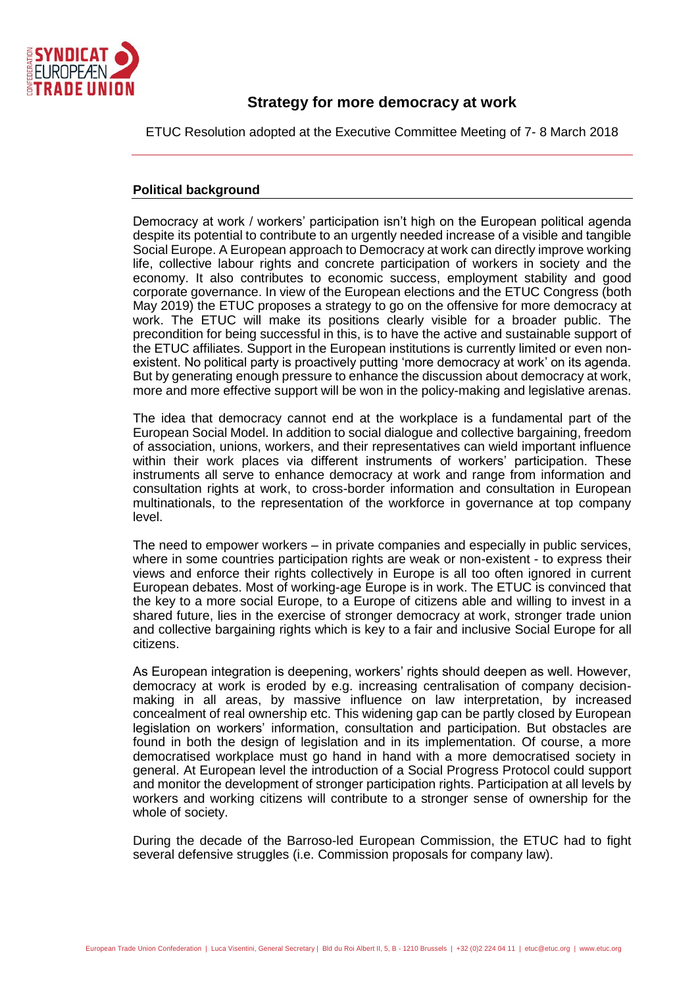

## **Strategy for more democracy at work**

ETUC Resolution adopted at the Executive Committee Meeting of 7- 8 March 2018

## **Political background**

Democracy at work / workers' participation isn't high on the European political agenda despite its potential to contribute to an urgently needed increase of a visible and tangible Social Europe. A European approach to Democracy at work can directly improve working life, collective labour rights and concrete participation of workers in society and the economy. It also contributes to economic success, employment stability and good corporate governance. In view of the European elections and the ETUC Congress (both May 2019) the ETUC proposes a strategy to go on the offensive for more democracy at work. The ETUC will make its positions clearly visible for a broader public. The precondition for being successful in this, is to have the active and sustainable support of the ETUC affiliates. Support in the European institutions is currently limited or even nonexistent. No political party is proactively putting 'more democracy at work' on its agenda. But by generating enough pressure to enhance the discussion about democracy at work, more and more effective support will be won in the policy-making and legislative arenas.

The idea that democracy cannot end at the workplace is a fundamental part of the European Social Model. In addition to social dialogue and collective bargaining, freedom of association, unions, workers, and their representatives can wield important influence within their work places via different instruments of workers' participation. These instruments all serve to enhance democracy at work and range from information and consultation rights at work, to cross-border information and consultation in European multinationals, to the representation of the workforce in governance at top company level.

The need to empower workers – in private companies and especially in public services, where in some countries participation rights are weak or non-existent - to express their views and enforce their rights collectively in Europe is all too often ignored in current European debates. Most of working-age Europe is in work. The ETUC is convinced that the key to a more social Europe, to a Europe of citizens able and willing to invest in a shared future, lies in the exercise of stronger democracy at work, stronger trade union and collective bargaining rights which is key to a fair and inclusive Social Europe for all citizens.

As European integration is deepening, workers' rights should deepen as well. However, democracy at work is eroded by e.g. increasing centralisation of company decisionmaking in all areas, by massive influence on law interpretation, by increased concealment of real ownership etc. This widening gap can be partly closed by European legislation on workers' information, consultation and participation. But obstacles are found in both the design of legislation and in its implementation. Of course, a more democratised workplace must go hand in hand with a more democratised society in general. At European level the introduction of a Social Progress Protocol could support and monitor the development of stronger participation rights. Participation at all levels by workers and working citizens will contribute to a stronger sense of ownership for the whole of society.

During the decade of the Barroso-led European Commission, the ETUC had to fight several defensive struggles (i.e. Commission proposals for company law).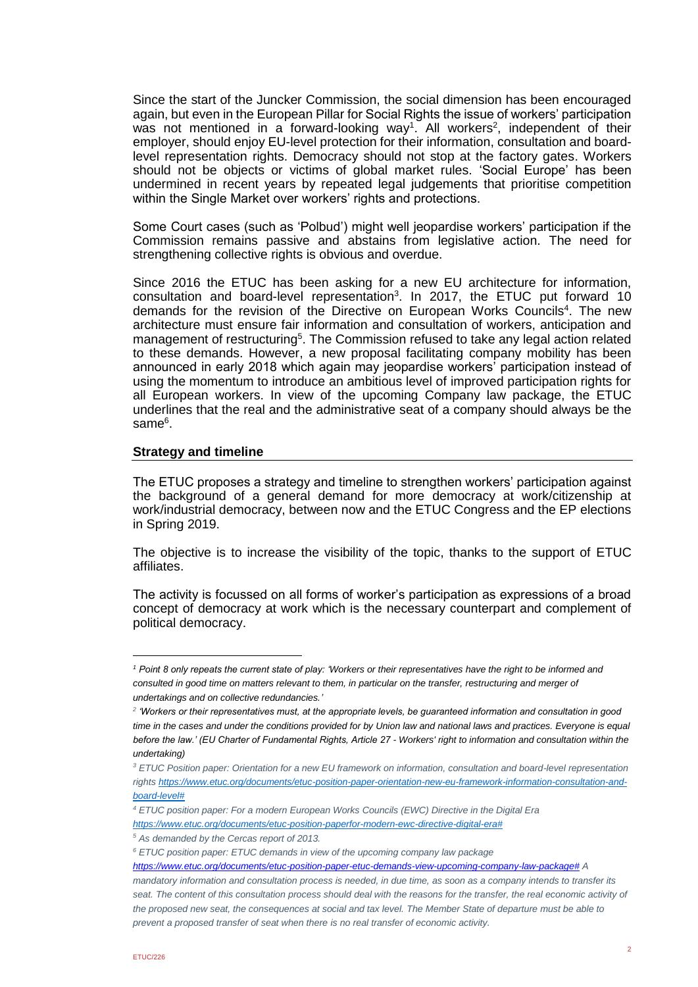Since the start of the Juncker Commission, the social dimension has been encouraged again, but even in the European Pillar for Social Rights the issue of workers' participation was not mentioned in a forward-looking way<sup>1</sup>. All workers<sup>2</sup>, independent of their employer, should enjoy EU-level protection for their information, consultation and boardlevel representation rights. Democracy should not stop at the factory gates. Workers should not be objects or victims of global market rules. 'Social Europe' has been undermined in recent years by repeated legal judgements that prioritise competition within the Single Market over workers' rights and protections.

Some Court cases (such as 'Polbud') might well jeopardise workers' participation if the Commission remains passive and abstains from legislative action. The need for strengthening collective rights is obvious and overdue.

Since 2016 the ETUC has been asking for a new EU architecture for information, consultation and board-level representation<sup>3</sup>. In 2017, the ETUC put forward 10 demands for the revision of the Directive on European Works Councils<sup>4</sup>. The new architecture must ensure fair information and consultation of workers, anticipation and management of restructuring<sup>5</sup>. The Commission refused to take any legal action related to these demands. However, a new proposal facilitating company mobility has been announced in early 2018 which again may jeopardise workers' participation instead of using the momentum to introduce an ambitious level of improved participation rights for all European workers. In view of the upcoming Company law package, the ETUC underlines that the real and the administrative seat of a company should always be the same<sup>6</sup>.

## **Strategy and timeline**

The ETUC proposes a strategy and timeline to strengthen workers' participation against the background of a general demand for more democracy at work/citizenship at work/industrial democracy, between now and the ETUC Congress and the EP elections in Spring 2019.

The objective is to increase the visibility of the topic, thanks to the support of ETUC affiliates.

The activity is focussed on all forms of worker's participation as expressions of a broad concept of democracy at work which is the necessary counterpart and complement of political democracy.

*[https://www.etuc.org/documents/etuc-position-paperfor-modern-ewc-directive-digital-era#](https://www.etuc.org/documents/etuc-position-paperfor-modern-ewc-directive-digital-era)*

*<sup>1</sup> Point 8 only repeats the current state of play: 'Workers or their representatives have the right to be informed and consulted in good time on matters relevant to them, in particular on the transfer, restructuring and merger of undertakings and on collective redundancies.'*

*<sup>2</sup> 'Workers or their representatives must, at the appropriate levels, be guaranteed information and consultation in good time in the cases and under the conditions provided for by Union law and national laws and practices. Everyone is equal before the law.' (EU Charter of Fundamental Rights, Article 27 - Workers' right to information and consultation within the undertaking)*

*<sup>3</sup> ETUC Position paper: Orientation for a new EU framework on information, consultation and board-level representation right[s https://www.etuc.org/documents/etuc-position-paper-orientation-new-eu-framework-information-consultation-and](https://www.etuc.org/documents/etuc-position-paper-orientation-new-eu-framework-information-consultation-and-board-level)[board-level#](https://www.etuc.org/documents/etuc-position-paper-orientation-new-eu-framework-information-consultation-and-board-level)*

*<sup>4</sup> ETUC position paper: For a modern European Works Councils (EWC) Directive in the Digital Era* 

*<sup>5</sup> As demanded by the Cercas report of 2013.*

*<sup>6</sup> ETUC position paper: ETUC demands in view of the upcoming company law package*

*[https://www.etuc.org/documents/etuc-position-paper-etuc-demands-view-upcoming-company-law-package#](https://www.etuc.org/documents/etuc-position-paper-etuc-demands-view-upcoming-company-law-package) A mandatory information and consultation process is needed, in due time, as soon as a company intends to transfer its seat. The content of this consultation process should deal with the reasons for the transfer, the real economic activity of the proposed new seat, the consequences at social and tax level. The Member State of departure must be able to prevent a proposed transfer of seat when there is no real transfer of economic activity.*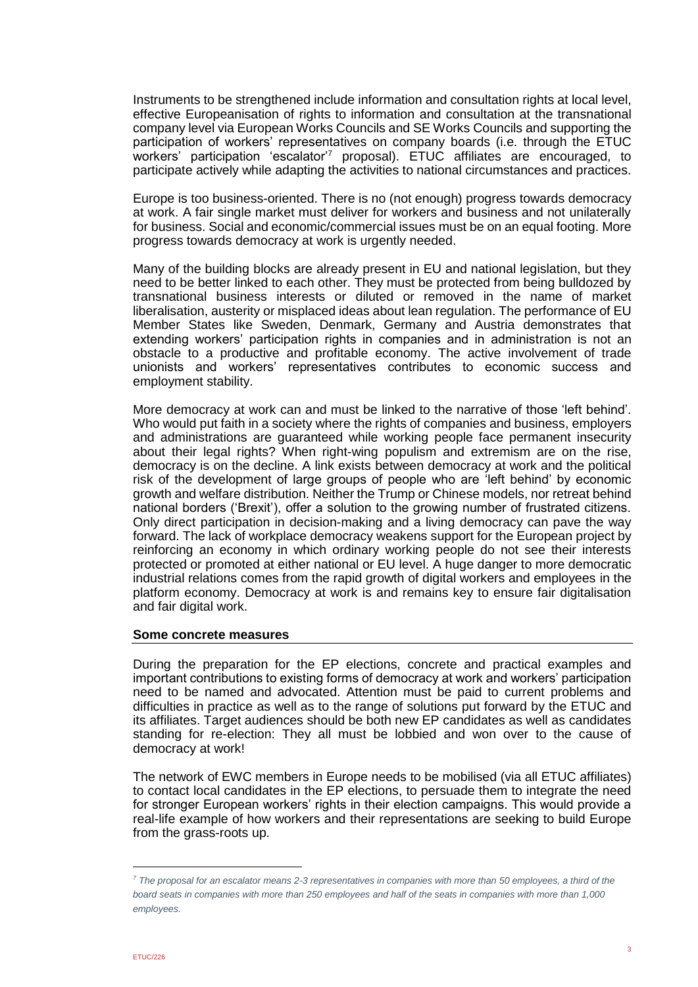Instruments to be strengthened include information and consultation rights at local level, effective Europeanisation of rights to information and consultation at the transnational company level via European Works Councils and SE Works Councils and supporting the participation of workers' representatives on company boards (i.e. through the ETUC workers' participation 'escalator'<sup>7</sup> proposal). ETUC affiliates are encouraged, to participate actively while adapting the activities to national circumstances and practices.

Europe is too business-oriented. There is no (not enough) progress towards democracy at work. A fair single market must deliver for workers and business and not unilaterally for business. Social and economic/commercial issues must be on an equal footing. More progress towards democracy at work is urgently needed.

Many of the building blocks are already present in EU and national legislation, but they need to be better linked to each other. They must be protected from being bulldozed by transnational business interests or diluted or removed in the name of market liberalisation, austerity or misplaced ideas about lean regulation. The performance of EU Member States like Sweden, Denmark, Germany and Austria demonstrates that extending workers' participation rights in companies and in administration is not an obstacle to a productive and profitable economy. The active involvement of trade unionists and workers' representatives contributes to economic success and employment stability.

More democracy at work can and must be linked to the narrative of those 'left behind'. Who would put faith in a society where the rights of companies and business, employers and administrations are guaranteed while working people face permanent insecurity about their legal rights? When right-wing populism and extremism are on the rise, democracy is on the decline. A link exists between democracy at work and the political risk of the development of large groups of people who are 'left behind' by economic growth and welfare distribution. Neither the Trump or Chinese models, nor retreat behind national borders ('Brexit'), offer a solution to the growing number of frustrated citizens. Only direct participation in decision-making and a living democracy can pave the way forward. The lack of workplace democracy weakens support for the European project by reinforcing an economy in which ordinary working people do not see their interests protected or promoted at either national or EU level. A huge danger to more democratic industrial relations comes from the rapid growth of digital workers and employees in the platform economy. Democracy at work is and remains key to ensure fair digitalisation and fair digital work.

## **Some concrete measures**

During the preparation for the EP elections, concrete and practical examples and important contributions to existing forms of democracy at work and workers' participation need to be named and advocated. Attention must be paid to current problems and difficulties in practice as well as to the range of solutions put forward by the ETUC and its affiliates. Target audiences should be both new EP candidates as well as candidates standing for re-election: They all must be lobbied and won over to the cause of democracy at work!

The network of EWC members in Europe needs to be mobilised (via all ETUC affiliates) to contact local candidates in the EP elections, to persuade them to integrate the need for stronger European workers' rights in their election campaigns. This would provide a real-life example of how workers and their representations are seeking to build Europe from the grass-roots up.

*<sup>7</sup> The proposal for an escalator means 2-3 representatives in companies with more than 50 employees, a third of the board seats in companies with more than 250 employees and half of the seats in companies with more than 1,000 employees.*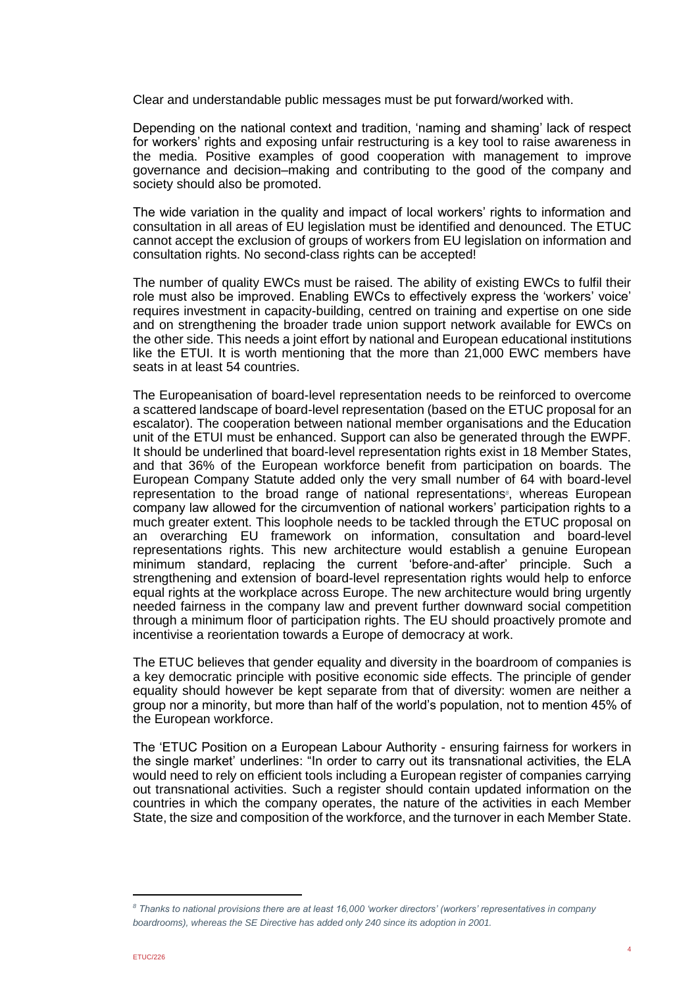Clear and understandable public messages must be put forward/worked with.

Depending on the national context and tradition, 'naming and shaming' lack of respect for workers' rights and exposing unfair restructuring is a key tool to raise awareness in the media. Positive examples of good cooperation with management to improve governance and decision–making and contributing to the good of the company and society should also be promoted.

The wide variation in the quality and impact of local workers' rights to information and consultation in all areas of EU legislation must be identified and denounced. The ETUC cannot accept the exclusion of groups of workers from EU legislation on information and consultation rights. No second-class rights can be accepted!

The number of quality EWCs must be raised. The ability of existing EWCs to fulfil their role must also be improved. Enabling EWCs to effectively express the 'workers' voice' requires investment in capacity-building, centred on training and expertise on one side and on strengthening the broader trade union support network available for EWCs on the other side. This needs a joint effort by national and European educational institutions like the ETUI. It is worth mentioning that the more than 21,000 EWC members have seats in at least 54 countries.

The Europeanisation of board-level representation needs to be reinforced to overcome a scattered landscape of board-level representation (based on the ETUC proposal for an escalator). The cooperation between national member organisations and the Education unit of the ETUI must be enhanced. Support can also be generated through the EWPF. It should be underlined that board-level representation rights exist in 18 Member States, and that 36% of the European workforce benefit from participation on boards. The European Company Statute added only the very small number of 64 with board-level representation to the broad range of national representations*<sup>8</sup>* , whereas European company law allowed for the circumvention of national workers' participation rights to a much greater extent. This loophole needs to be tackled through the ETUC proposal on an overarching EU framework on information, consultation and board-level representations rights. This new architecture would establish a genuine European minimum standard, replacing the current 'before-and-after' principle. Such a strengthening and extension of board-level representation rights would help to enforce equal rights at the workplace across Europe. The new architecture would bring urgently needed fairness in the company law and prevent further downward social competition through a minimum floor of participation rights. The EU should proactively promote and incentivise a reorientation towards a Europe of democracy at work.

The ETUC believes that gender equality and diversity in the boardroom of companies is a key democratic principle with positive economic side effects. The principle of gender equality should however be kept separate from that of diversity: women are neither a group nor a minority, but more than half of the world's population, not to mention 45% of the European workforce.

The 'ETUC Position on a European Labour Authority - ensuring fairness for workers in the single market' underlines: "In order to carry out its transnational activities, the ELA would need to rely on efficient tools including a European register of companies carrying out transnational activities. Such a register should contain updated information on the countries in which the company operates, the nature of the activities in each Member State, the size and composition of the workforce, and the turnover in each Member State.

*<sup>8</sup> Thanks to national provisions there are at least 16,000 'worker directors' (workers' representatives in company boardrooms), whereas the SE Directive has added only 240 since its adoption in 2001.*